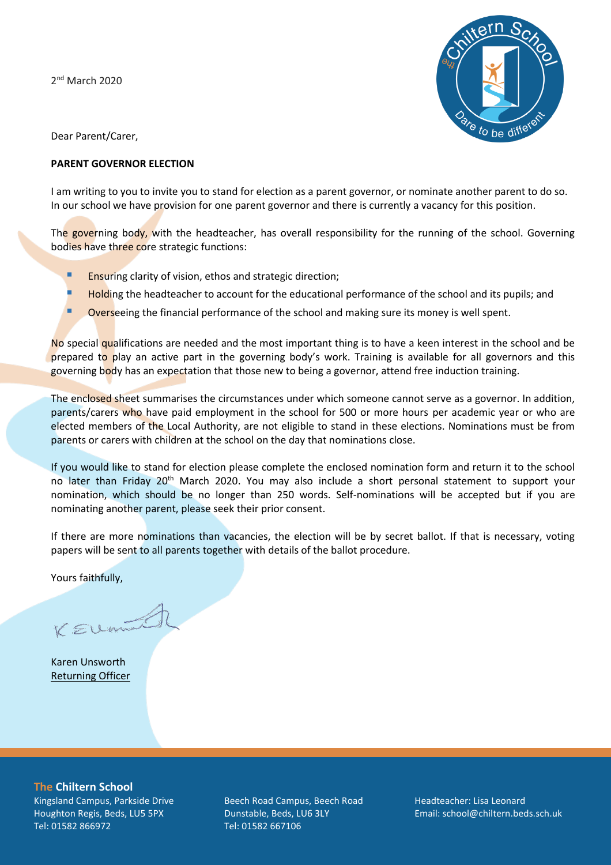2 nd March 2020



Dear Parent/Carer,

## **PARENT GOVERNOR ELECTION**

I am writing to you to invite you to stand for election as a parent governor, or nominate another parent to do so. In our school we have provision for one parent governor and there is currently a vacancy for this position.

The governing body, with the headteacher, has overall responsibility for the running of the school. Governing bodies have three core strategic functions:

- **Ensuring clarity of vision, ethos and strategic direction;**
- **E** Holding the headteacher to account for the educational performance of the school and its pupils; and
- Overseeing the financial performance of the school and making sure its money is well spent.

No special qualifications are needed and the most important thing is to have a keen interest in the school and be prepared to play an active part in the governing body's work. Training is available for all governors and this governing body has an expectation that those new to being a governor, attend free induction training.

The enclosed sheet summarises the circumstances under which someone cannot serve as a governor. In addition, parents/carers who have paid employment in the school for 500 or more hours per academic year or who are elected members of the Local Authority, are not eligible to stand in these elections. Nominations must be from parents or carers with children at the school on the day that nominations close.

If you would like to stand for election please complete the enclosed nomination form and return it to the school no later than Friday 20<sup>th</sup> March 2020. You may also include a short personal statement to support your nomination, which should be no longer than 250 words. Self-nominations will be accepted but if you are nominating another parent, please seek their prior consent.

If there are more nominations than vacancies, the election will be by secret ballot. If that is necessary, voting papers will be sent to all parents together with details of the ballot procedure.

Yours faithfully,

KEUmil

Karen Unsworth Returning Officer

**The Chiltern School** Kingsland Campus, Parkside Drive Houghton Regis, Beds, LU5 5PX Tel: 01582 866972

Beech Road Campus, Beech Road Dunstable, Beds, LU6 3LY Tel: 01582 667106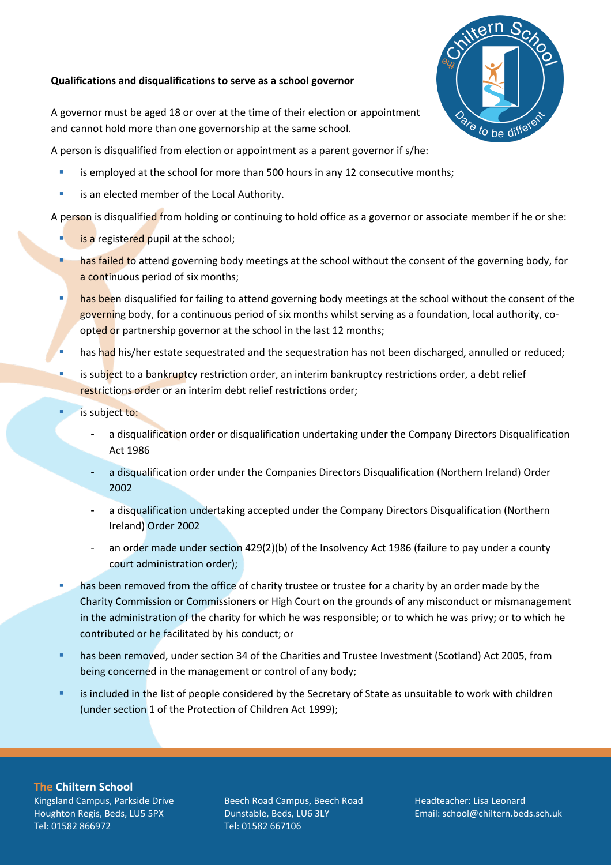## **Qualifications and disqualifications to serve as a school governor**



A governor must be aged 18 or over at the time of their election or appointment and cannot hold more than one governorship at the same school.

A person is disqualified from election or appointment as a parent governor if s/he:

- is employed at the school for more than 500 hours in any 12 consecutive months;
- **E** is an elected member of the Local Authority.

A person is disqualified from holding or continuing to hold office as a governor or associate member if he or she:

- **E** is a registered pupil at the school;
- **EXECT** has failed to attend governing body meetings at the school without the consent of the governing body, for a continuous period of six months;
- has been disqualified for failing to attend governing body meetings at the school without the consent of the governing body, for a continuous period of six months whilst serving as a foundation, local authority, coopted or partnership governor at the school in the last 12 months;
- has had his/her estate sequestrated and the sequestration has not been discharged, annulled or reduced;
- is subject to a bankruptcy restriction order, an interim bankruptcy restrictions order, a debt relief restrictions order or an interim debt relief restrictions order;
	- is subject to:
		- a disqualification order or disqualification undertaking under the Company Directors Disqualification Act 1986
		- a disqualification order under the Companies Directors Disqualification (Northern Ireland) Order 2002
		- a disqualification undertaking accepted under the Company Directors Disqualification (Northern Ireland) Order 2002
		- an order made under section 429(2)(b) of the Insolvency Act 1986 (failure to pay under a county court administration order);
- **EXED** has been removed from the office of charity trustee or trustee for a charity by an order made by the Charity Commission or Commissioners or High Court on the grounds of any misconduct or mismanagement in the administration of the charity for which he was responsible; or to which he was privy; or to which he contributed or he facilitated by his conduct; or
- **EXECT** has been removed, under section 34 of the Charities and Trustee Investment (Scotland) Act 2005, from being concerned in the management or control of any body;
- **EXECT** is included in the list of people considered by the Secretary of State as unsuitable to work with children (under section 1 of the Protection of Children Act 1999);

**The Chiltern School**

Kingsland Campus, Parkside Drive Houghton Regis, Beds, LU5 5PX Tel: 01582 866972

Beech Road Campus, Beech Road Dunstable, Beds, LU6 3LY Tel: 01582 667106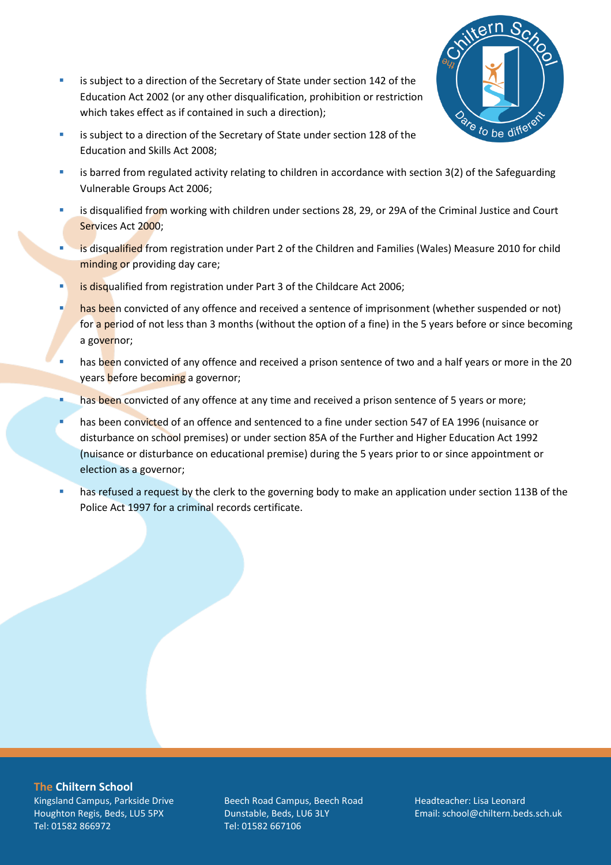**EXECT** is subject to a direction of the Secretary of State under section 142 of the Education Act 2002 (or any other disqualification, prohibition or restriction which takes effect as if contained in such a direction);



- **EXEDENT IS Subject to a direction of the Secretary of State under section 128 of the** Education and Skills Act 2008;
- **EXECT** is barred from regulated activity relating to children in accordance with section 3(2) of the Safeguarding Vulnerable Groups Act 2006;
- **EXECT** is disqualified from working with children under sections 28, 29, or 29A of the Criminal Justice and Court Services Act 2000;
- is disqualified from registration under Part 2 of the Children and Families (Wales) Measure 2010 for child minding or providing day care;
- **EXECT** is disqualified from registration under Part 3 of the Childcare Act 2006;
- has been convicted of any offence and received a sentence of imprisonment (whether suspended or not) for a period of not less than 3 months (without the option of a fine) in the 5 years before or since becoming a governor;
- has been convicted of any offence and received a prison sentence of two and a half years or more in the 20 years before becoming a governor;
- **EXECT** has been convicted of any offence at any time and received a prison sentence of 5 years or more;
- has been convicted of an offence and sentenced to a fine under section 547 of EA 1996 (nuisance or disturbance on school premises) or under section 85A of the Further and Higher Education Act 1992 (nuisance or disturbance on educational premise) during the 5 years prior to or since appointment or election as a governor;
- **■** has refused a request by the clerk to the governing body to make an application under section 113B of the Police Act 1997 for a criminal records certificate.

**The Chiltern School** Kingsland Campus, Parkside Drive Houghton Regis, Beds, LU5 5PX Tel: 01582 866972

Beech Road Campus, Beech Road Dunstable, Beds, LU6 3LY Tel: 01582 667106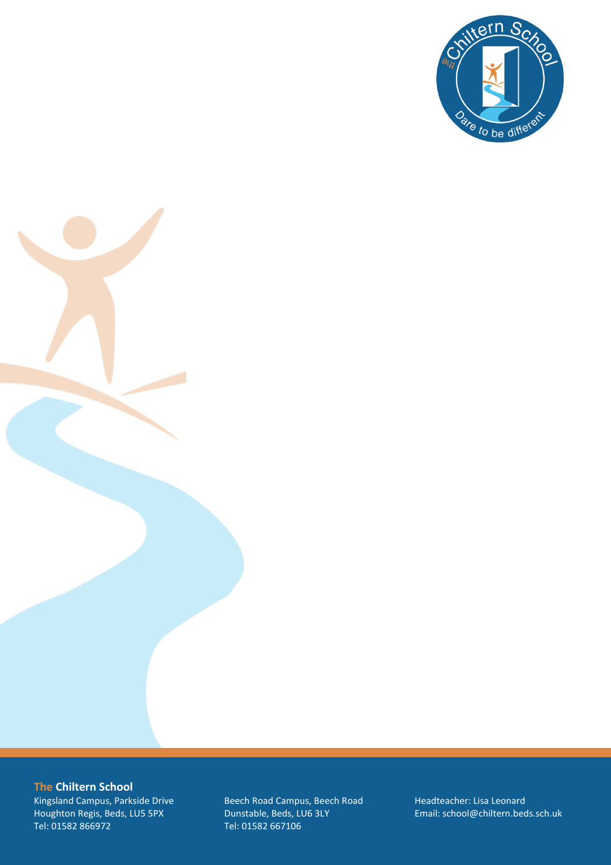

**The Chiltern School**

Kingsland Campus, Parkside Drive Houghton Regis, Beds, LU5 5PX Tel: 01582 866972

Beech Road Campus, Beech Road Dunstable, Beds, LU6 3LY Tel: 01582 667106